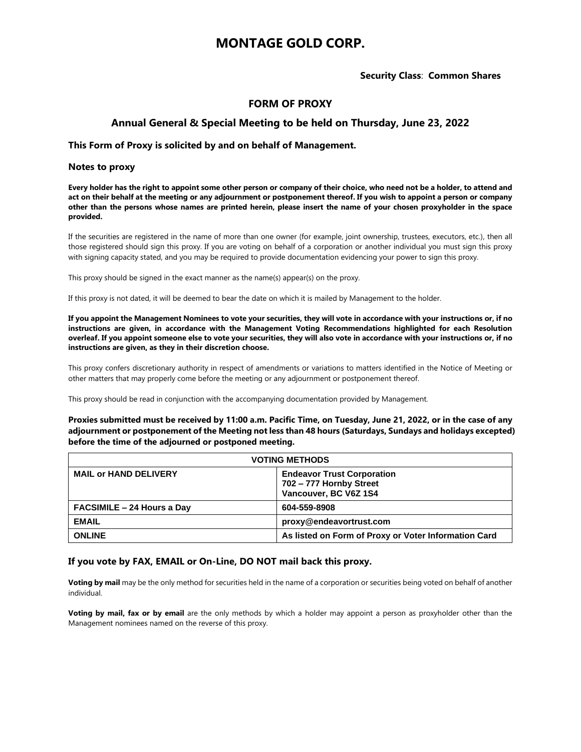# **MONTAGE GOLD CORP.**

## **Security Class**: **Common Shares**

## **FORM OF PROXY**

## **Annual General & Special Meeting to be held on Thursday, June 23, 2022**

## **This Form of Proxy is solicited by and on behalf of Management.**

## **Notes to proxy**

**Every holder has the right to appoint some other person or company of their choice, who need not be a holder, to attend and act on their behalf at the meeting or any adjournment or postponement thereof. If you wish to appoint a person or company other than the persons whose names are printed herein, please insert the name of your chosen proxyholder in the space provided.**

If the securities are registered in the name of more than one owner (for example, joint ownership, trustees, executors, etc.), then all those registered should sign this proxy. If you are voting on behalf of a corporation or another individual you must sign this proxy with signing capacity stated, and you may be required to provide documentation evidencing your power to sign this proxy.

This proxy should be signed in the exact manner as the name(s) appear(s) on the proxy.

If this proxy is not dated, it will be deemed to bear the date on which it is mailed by Management to the holder.

**If you appoint the Management Nominees to vote your securities, they will vote in accordance with your instructions or, if no instructions are given, in accordance with the Management Voting Recommendations highlighted for each Resolution overleaf. If you appoint someone else to vote your securities, they will also vote in accordance with your instructions or, if no instructions are given, as they in their discretion choose.** 

This proxy confers discretionary authority in respect of amendments or variations to matters identified in the Notice of Meeting or other matters that may properly come before the meeting or any adjournment or postponement thereof.

This proxy should be read in conjunction with the accompanying documentation provided by Management.

**Proxies submitted must be received by 11:00 a.m. Pacific Time, on Tuesday, June 21, 2022, or in the case of any adjournment or postponement of the Meeting not less than 48 hours (Saturdays, Sundays and holidays excepted) before the time of the adjourned or postponed meeting.** 

| <b>VOTING METHODS</b>             |                                                                                       |  |  |  |  |  |  |  |  |  |
|-----------------------------------|---------------------------------------------------------------------------------------|--|--|--|--|--|--|--|--|--|
| <b>MAIL or HAND DELIVERY</b>      | <b>Endeavor Trust Corporation</b><br>702 - 777 Hornby Street<br>Vancouver, BC V6Z 1S4 |  |  |  |  |  |  |  |  |  |
| <b>FACSIMILE - 24 Hours a Day</b> | 604-559-8908                                                                          |  |  |  |  |  |  |  |  |  |
| <b>EMAIL</b>                      | proxy@endeavortrust.com                                                               |  |  |  |  |  |  |  |  |  |
| <b>ONLINE</b>                     | As listed on Form of Proxy or Voter Information Card                                  |  |  |  |  |  |  |  |  |  |

## **If you vote by FAX, EMAIL or On-Line, DO NOT mail back this proxy.**

**Voting by mail** may be the only method for securities held in the name of a corporation or securities being voted on behalf of another individual.

**Voting by mail, fax or by email** are the only methods by which a holder may appoint a person as proxyholder other than the Management nominees named on the reverse of this proxy.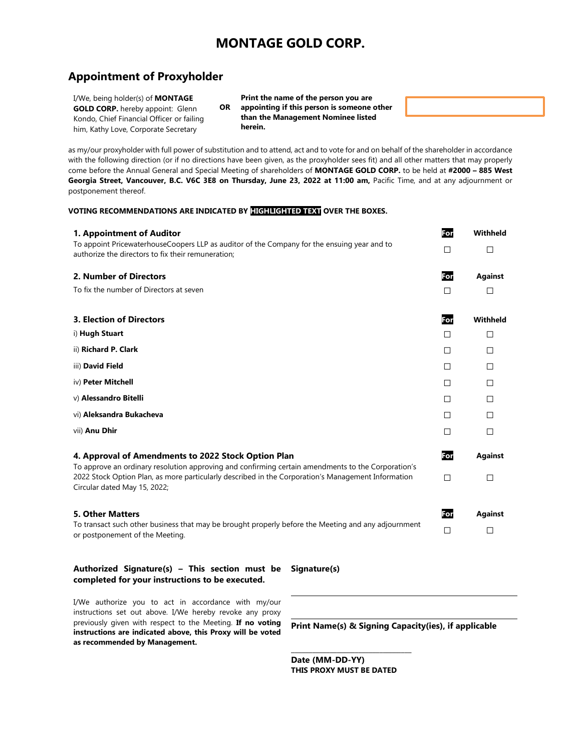# **MONTAGE GOLD CORP.**

## **Appointment of Proxyholder**

I/We, being holder(s) of **MONTAGE GOLD CORP.** hereby appoint: Glenn Kondo, Chief Financial Officer or failing him, Kathy Love, Corporate Secretary

**OR Print the name of the person you are appointing if this person is someone other than the Management Nominee listed herein.**

as my/our proxyholder with full power of substitution and to attend, act and to vote for and on behalf of the shareholder in accordance with the following direction (or if no directions have been given, as the proxyholder sees fit) and all other matters that may properly come before the Annual General and Special Meeting of shareholders of **MONTAGE GOLD CORP.** to be held at **#2000 – 885 West Georgia Street, Vancouver, B.C. V6C 3E8 on Thursday, June 23, 2022 at 11:00 am,** Pacific Time, and at any adjournment or postponement thereof.

#### **VOTING RECOMMENDATIONS ARE INDICATED BY HIGHLIGHTED TEXT OVER THE BOXES.**

| 1. Appointment of Auditor<br>To appoint PricewaterhouseCoopers LLP as auditor of the Company for the ensuing year and to<br>authorize the directors to fix their remuneration; | For<br>$\Box$ | Withheld<br>□  |
|--------------------------------------------------------------------------------------------------------------------------------------------------------------------------------|---------------|----------------|
| 2. Number of Directors                                                                                                                                                         | For           | <b>Against</b> |
| To fix the number of Directors at seven                                                                                                                                        | П             | П              |
| <b>3. Election of Directors</b>                                                                                                                                                | For           | Withheld       |
| i) Hugh Stuart                                                                                                                                                                 | П             | □              |
| ii) Richard P. Clark                                                                                                                                                           | П             | П              |
| iii) David Field                                                                                                                                                               | П             | □              |
| iv) Peter Mitchell                                                                                                                                                             | □             | □              |
| v) Alessandro Bitelli                                                                                                                                                          | П             | П              |
| vi) Aleksandra Bukacheva                                                                                                                                                       | П             | П              |
| vii) Anu Dhir                                                                                                                                                                  | П             | П              |
| 4. Approval of Amendments to 2022 Stock Option Plan<br>To approve an ordinary resolution approving and confirming certain amendments to the Corporation's                      | For           | <b>Against</b> |
| 2022 Stock Option Plan, as more particularly described in the Corporation's Management Information<br>Circular dated May 15, 2022;                                             | П             | П              |
| <b>5. Other Matters</b>                                                                                                                                                        | For           | <b>Against</b> |
| To transact such other business that may be brought properly before the Meeting and any adjournment<br>or postponement of the Meeting.                                         | П             | П              |

## **Authorized Signature(s) – This section must be completed for your instructions to be executed.**

**Signature(s)**

I/We authorize you to act in accordance with my/our instructions set out above. I/We hereby revoke any proxy previously given with respect to the Meeting. **If no voting instructions are indicated above, this Proxy will be voted as recommended by Management.**

**Print Name(s) & Signing Capacity(ies), if applicable**

**Date (MM-DD-YY) THIS PROXY MUST BE DATED**

\_\_\_\_\_\_\_\_\_\_\_\_\_\_\_\_\_\_\_\_\_\_\_\_\_\_\_\_\_\_\_\_\_\_